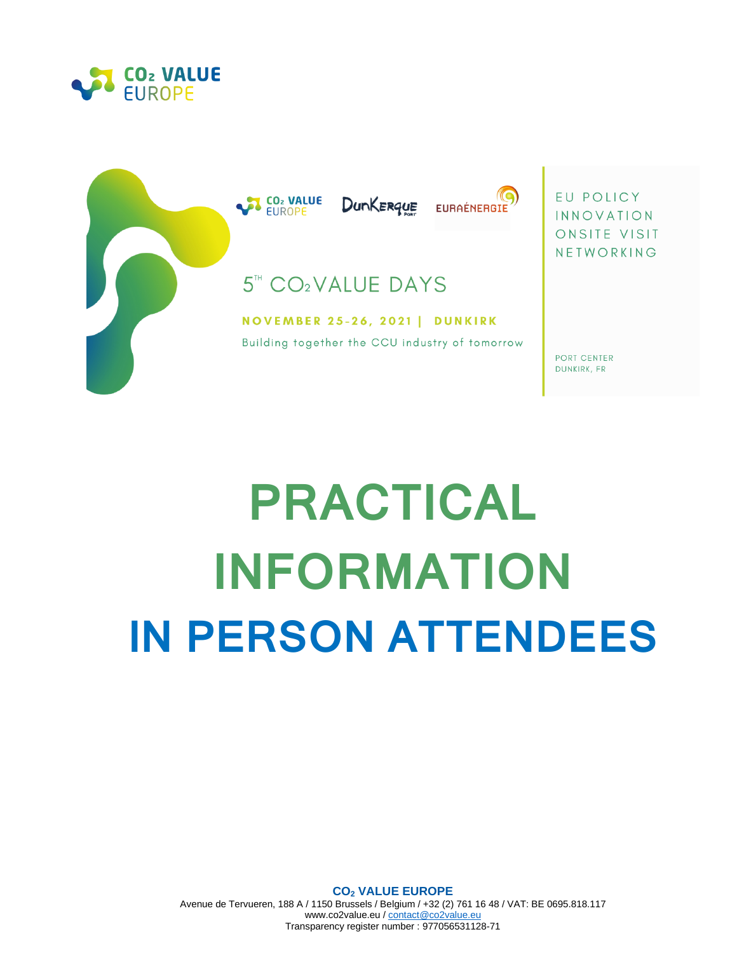



# **PRACTICAL INFORMATION IN PERSON ATTENDEES**

Avenue de Tervueren, 188 A / 1150 Brussels / Belgium / +32 (2) 761 16 48 / VAT: BE 0695.818.117 www.co2value.eu [/ contact@co2value.eu](mailto:contact@co2value.eu) Transparency register number : 977056531128-71

**CO<sup>2</sup> VALUE EUROPE**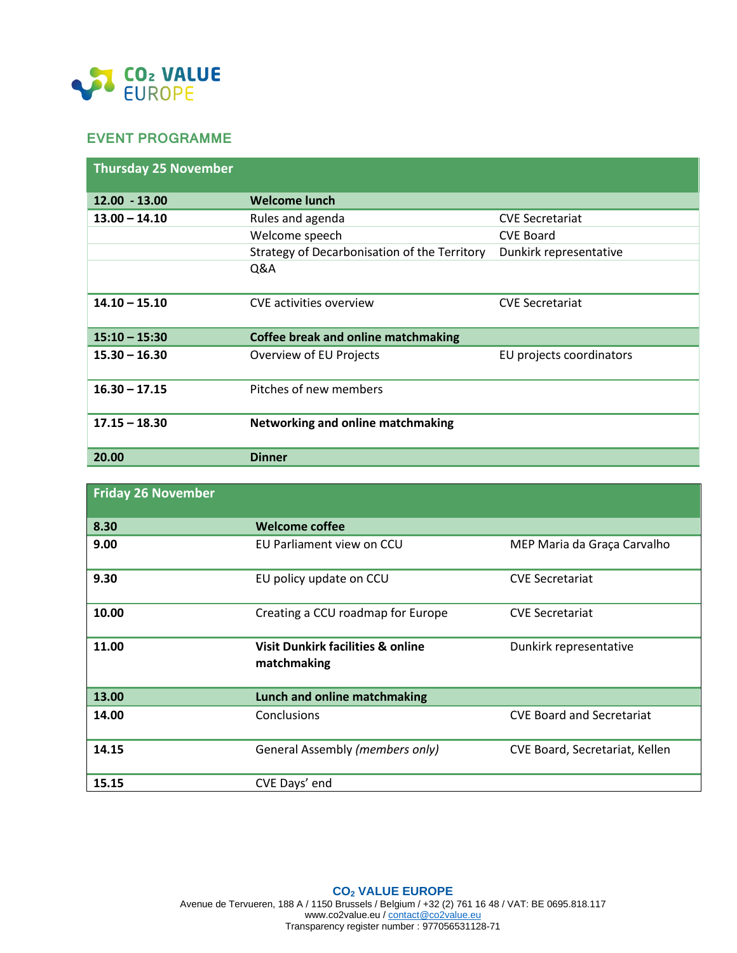

# **EVENT PROGRAMME**

| <b>Thursday 25 November</b> |                                              |                          |  |  |
|-----------------------------|----------------------------------------------|--------------------------|--|--|
| $12.00 - 13.00$             | <b>Welcome lunch</b>                         |                          |  |  |
| $13.00 - 14.10$             | Rules and agenda                             | <b>CVE Secretariat</b>   |  |  |
|                             | Welcome speech                               | <b>CVE Board</b>         |  |  |
|                             | Strategy of Decarbonisation of the Territory | Dunkirk representative   |  |  |
|                             | Q&A                                          |                          |  |  |
| $14.10 - 15.10$             | <b>CVE</b> activities overview               | <b>CVE Secretariat</b>   |  |  |
| $15:10 - 15:30$             | <b>Coffee break and online matchmaking</b>   |                          |  |  |
| $15.30 - 16.30$             | Overview of EU Projects                      | EU projects coordinators |  |  |
| $16.30 - 17.15$             | Pitches of new members                       |                          |  |  |
| $17.15 - 18.30$             | Networking and online matchmaking            |                          |  |  |
| 20.00                       | <b>Dinner</b>                                |                          |  |  |

| <b>Friday 26 November</b> |                                                  |                                  |  |
|---------------------------|--------------------------------------------------|----------------------------------|--|
| 8.30                      | <b>Welcome coffee</b>                            |                                  |  |
| 9.00                      | EU Parliament view on CCU                        | MEP Maria da Graça Carvalho      |  |
| 9.30                      | EU policy update on CCU                          | <b>CVE Secretariat</b>           |  |
| 10.00                     | Creating a CCU roadmap for Europe                | <b>CVE Secretariat</b>           |  |
| 11.00                     | Visit Dunkirk facilities & online<br>matchmaking | Dunkirk representative           |  |
| 13.00                     | Lunch and online matchmaking                     |                                  |  |
| 14.00                     | Conclusions                                      | <b>CVE Board and Secretariat</b> |  |
| 14.15                     | General Assembly (members only)                  | CVE Board, Secretariat, Kellen   |  |
| 15.15                     | CVE Days' end                                    |                                  |  |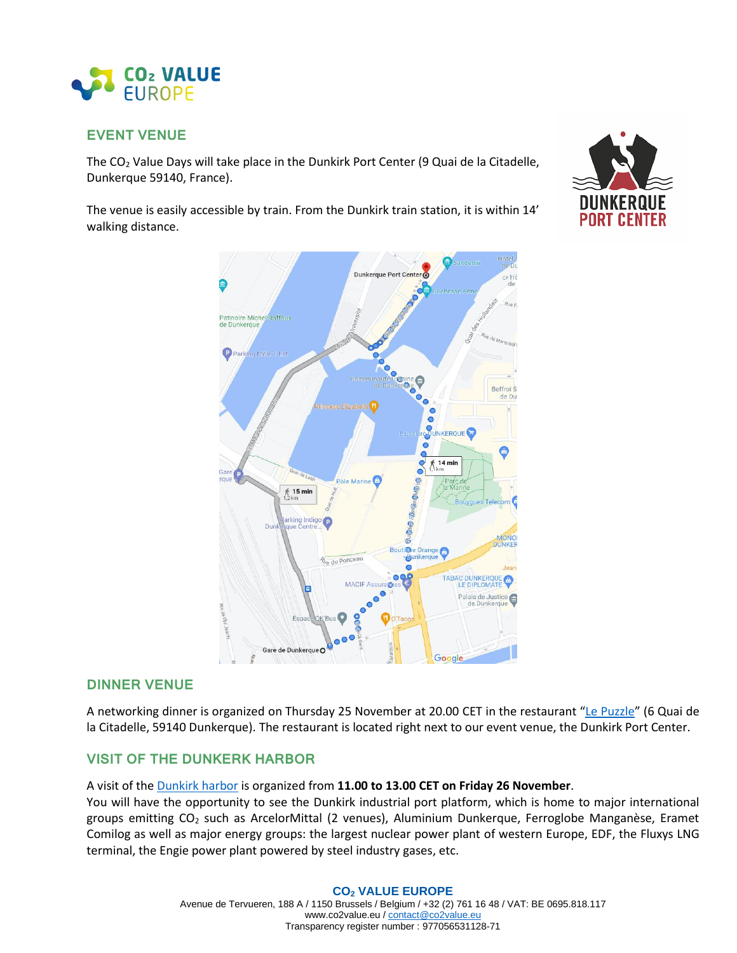

# **EVENT VENUE**

The  $CO<sub>2</sub>$  Value Days will take place in the Dunkirk Port Center (9 Quai de la Citadelle, Dunkerque 59140, France).

The venue is easily accessible by train. From the Dunkirk train station, it is within 14' walking distance.





#### **DINNER VENUE**

A networking dinner is organized on Thursday 25 November at 20.00 CET in the restaurant "[Le Puzzle](https://restaurant-lepuzzle.com/)" (6 Quai de la Citadelle, 59140 Dunkerque). The restaurant is located right next to our event venue, the Dunkirk Port Center.

## **VISIT OF THE DUNKERK HARBOR**

A visit of th[e Dunkirk harbor](http://www.dunkerqueportcenter.fr/) is organized from **11.00 to 13.00 CET on Friday 26 November**.

You will have the opportunity to see the Dunkirk industrial port platform, which is home to major international groups emitting CO<sup>2</sup> such as ArcelorMittal (2 venues), Aluminium Dunkerque, Ferroglobe Manganèse, Eramet Comilog as well as major energy groups: the largest nuclear power plant of western Europe, EDF, the Fluxys LNG terminal, the Engie power plant powered by steel industry gases, etc.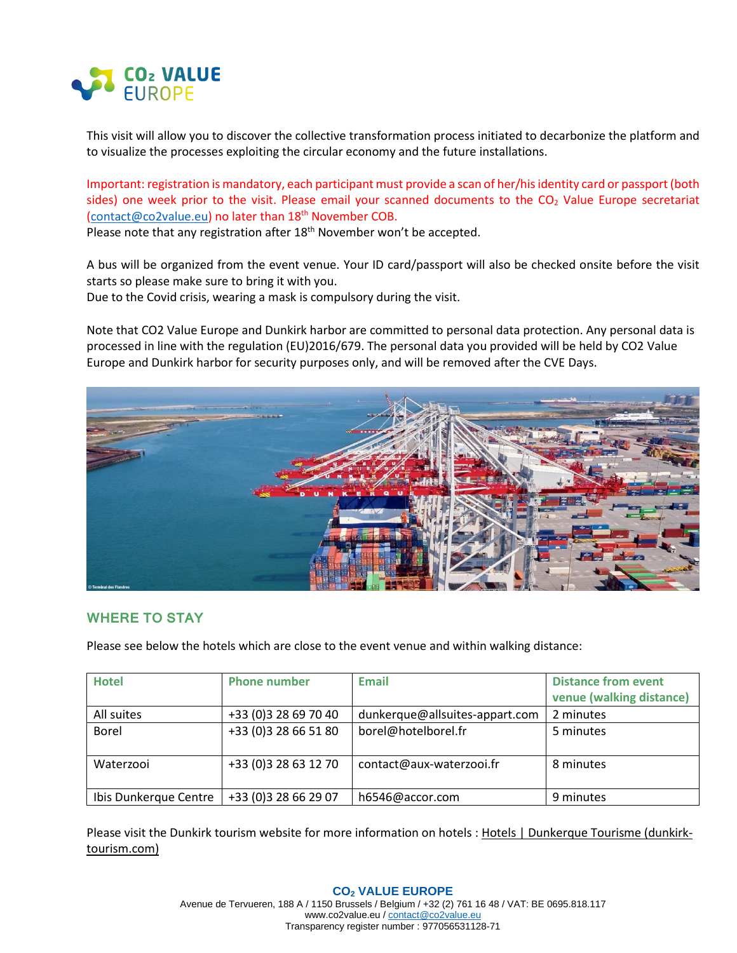

This visit will allow you to discover the collective transformation process initiated to decarbonize the platform and to visualize the processes exploiting the circular economy and the future installations.

Important: registration is mandatory, each participant must provide a scan of her/his identity card or passport (both sides) one week prior to the visit. Please email your scanned documents to the  $CO<sub>2</sub>$  Value Europe secretariat [\(contact@co2value.eu\)](mailto:contact@co2value.eu) no later than 18<sup>th</sup> November COB.

Please note that any registration after 18<sup>th</sup> November won't be accepted.

A bus will be organized from the event venue. Your ID card/passport will also be checked onsite before the visit starts so please make sure to bring it with you. Due to the Covid crisis, wearing a mask is compulsory during the visit.

Note that CO2 Value Europe and Dunkirk harbor are committed to personal data protection. Any personal data is processed in line with the regulation (EU)2016/679. The personal data you provided will be held by CO2 Value Europe and Dunkirk harbor for security purposes only, and will be removed after the CVE Days.



#### **WHERE TO STAY**

Please see below the hotels which are close to the event venue and within walking distance:

| <b>Hotel</b>          | <b>Phone number</b>   | <b>Email</b>                   | <b>Distance from event</b><br>venue (walking distance) |
|-----------------------|-----------------------|--------------------------------|--------------------------------------------------------|
| All suites            | +33 (0)3 28 69 70 40  | dunkerque@allsuites-appart.com | 2 minutes                                              |
| <b>Borel</b>          | +33 (0) 3 28 66 51 80 | borel@hotelborel.fr            | 5 minutes                                              |
| Waterzooi             | +33 (0) 3 28 63 12 70 | contact@aux-waterzooi.fr       | 8 minutes                                              |
| Ibis Dunkerque Centre | +33 (0) 3 28 66 29 07 | h6546@accor.com                | 9 minutes                                              |

Please visit the Dunkirk tourism website for more information on hotels : [Hotels | Dunkerque Tourisme \(dunkirk](https://www.dunkirk-tourism.com/prepare-your-stay/places-to-stay/hotels/)[tourism.com\)](https://www.dunkirk-tourism.com/prepare-your-stay/places-to-stay/hotels/)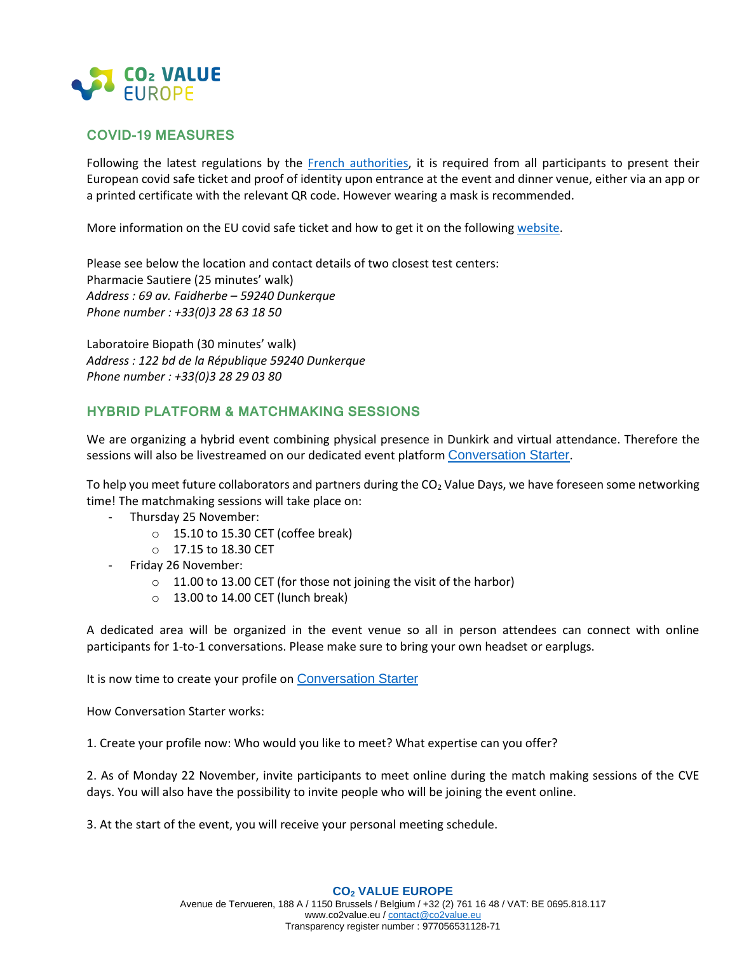

#### **COVID-19 MEASURES**

Following the latest regulations by the French [authorities,](https://www.diplomatie.gouv.fr/en/coming-to-france/coronavirus-advice-for-foreign-nationals-in-france/) it is required from all participants to present their European covid safe ticket and proof of identity upon entrance at the event and dinner venue, either via an app or a printed certificate with the relevant QR code. However wearing a mask is recommended.

More information on the EU covid safe ticket and how to get it on the followin[g website.](https://ec.europa.eu/info/live-work-travel-eu/coronavirus-response/safe-covid-19-vaccines-‎europeans/eu-digital-covid-certificate_en)

Please see below the location and contact details of two closest test centers: Pharmacie Sautiere (25 minutes' walk) *Address : 69 av. Faidherbe – 59240 Dunkerque Phone number : +33(0)3 28 63 18 50*

Laboratoire Biopath (30 minutes' walk) *Address : 122 bd de la République 59240 Dunkerque Phone number : +33(0)3 28 29 03 80*

### **HYBRID PLATFORM & MATCHMAKING SESSIONS**

We are organizing a hybrid event combining physical presence in Dunkirk and virtual attendance. Therefore the sessions will also be livestreamed on our dedicated event platform [Conversation Starter](https://events.conversationstarter.net/e/co2valueeunov).

To help you meet future collaborators and partners during the  $CO<sub>2</sub>$  Value Days, we have foreseen some networking time! The matchmaking sessions will take place on:

- Thursday 25 November:
	- $\circ$  15.10 to 15.30 CET (coffee break)
	- o 17.15 to 18.30 CET
- Friday 26 November:
	- o 11.00 to 13.00 CET (for those not joining the visit of the harbor)
	- $\circ$  13.00 to 14.00 CET (lunch break)

A dedicated area will be organized in the event venue so all in person attendees can connect with online participants for 1-to-1 conversations. Please make sure to bring your own headset or earplugs.

It is now time to create your profile on [Conversation Starter](https://events.conversationstarter.net/e/co2valueeunov)

How Conversation Starter works:

1. Create your profile now: Who would you like to meet? What expertise can you offer?

2. As of Monday 22 November, invite participants to meet online during the match making sessions of the CVE days. You will also have the possibility to invite people who will be joining the event online.

3. At the start of the event, you will receive your personal meeting schedule.